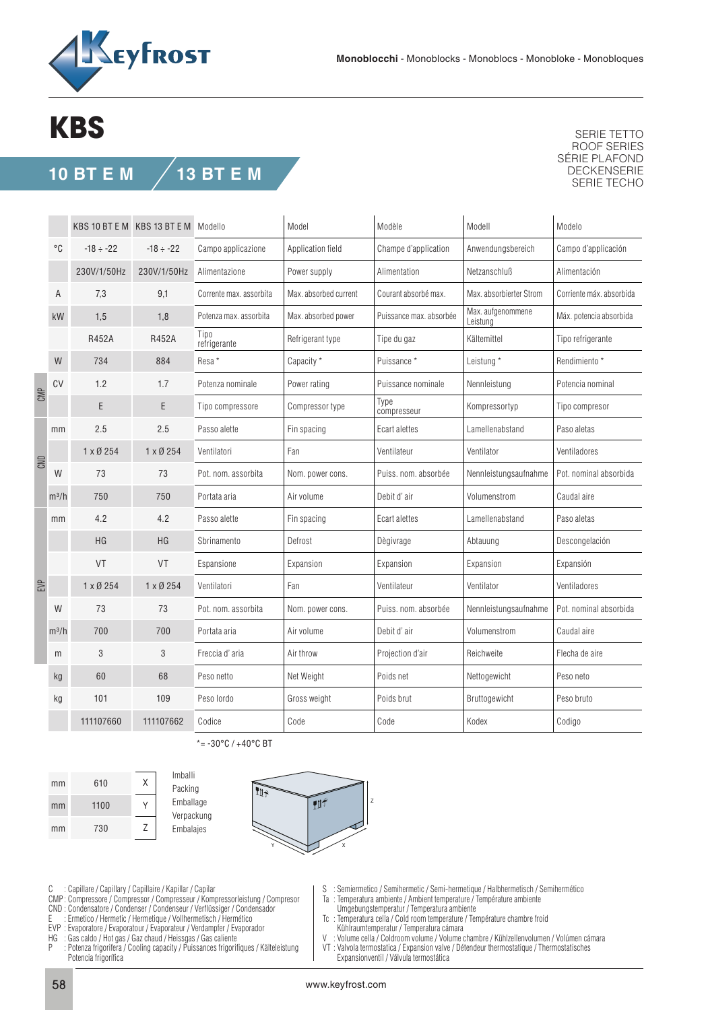

## **KBS**

## **10 BT E M 13 BT E M**

SERIE TETTO ROOF SERIES SÉRIE PLAFOND DECKENSERIE SERIE TECHO

|     |         |                 | KBS 10 BT E M KBS 13 BT E M Modello |                         | Model                 | Modèle                  | Modell                        | Modelo                   |
|-----|---------|-----------------|-------------------------------------|-------------------------|-----------------------|-------------------------|-------------------------------|--------------------------|
|     | °C      | $-18 \div -22$  | $-18 \div -22$                      | Campo applicazione      | Application field     | Champe d'application    | Anwendungsbereich             | Campo d'applicación      |
|     |         | 230V/1/50Hz     | 230V/1/50Hz                         | Alimentazione           | Power supply          | Alimentation            | Netzanschluß                  | Alimentación             |
|     | A       | 7,3             | 9,1                                 | Corrente max. assorbita | Max. absorbed current | Courant absorbé max.    | Max. absorbierter Strom       | Corriente máx. absorbida |
|     | kW      | 1,5             | 1,8                                 | Potenza max. assorbita  | Max. absorbed power   | Puissance max. absorbée | Max. aufgenommene<br>Leistung | Máx. potencia absorbida  |
|     |         | <b>R452A</b>    | <b>R452A</b>                        | Tipo<br>refrigerante    | Refrigerant type      | Tipe du gaz             | Kältemittel                   | Tipo refrigerante        |
|     | W       | 734             | 884                                 | Resa *                  | Capacity *            | Puissance*              | Leistung *                    | Rendimiento *            |
| CMP | CV      | 1.2             | 1.7                                 | Potenza nominale        | Power rating          | Puissance nominale      | Nennleistung                  | Potencia nominal         |
|     |         | E               | E                                   | Tipo compressore        | Compressor type       | Type<br>compresseur     | Kompressortyp                 | Tipo compresor           |
| CND | mm      | 2.5             | 2.5                                 | Passo alette            | Fin spacing           | Ecart alettes           | Lamellenabstand               | Paso aletas              |
|     |         | $1 \times 0254$ | 1 x Ø 254                           | Ventilatori             | Fan                   | Ventilateur             | Ventilator                    | Ventiladores             |
|     | W       | 73              | 73                                  | Pot. nom. assorbita     | Nom. power cons.      | Puiss, nom, absorbée    | Nennleistungsaufnahme         | Pot. nominal absorbida   |
|     | $m^3/h$ | 750             | 750                                 | Portata aria            | Air volume            | Debit d'air             | Volumenstrom                  | Caudal aire              |
| EVP | mm      | 4.2             | 4.2                                 | Passo alette            | Fin spacing           | Ecart alettes           | Lamellenabstand               | Paso aletas              |
|     |         | HG              | <b>HG</b>                           | Sbrinamento             | Defrost               | Dègivrage               | Abtauung                      | Descongelación           |
|     |         | VT              | VT                                  | Espansione              | Expansion             | Expansion               | Expansion                     | Expansión                |
|     |         | 1 x Ø 254       | 1 x Ø 254                           | Ventilatori             | Fan                   | Ventilateur             | Ventilator                    | Ventiladores             |
|     | W       | 73              | 73                                  | Pot. nom. assorbita     | Nom. power cons.      | Puiss. nom. absorbée    | Nennleistungsaufnahme         | Pot. nominal absorbida   |
|     | $m^3/h$ | 700             | 700                                 | Portata aria            | Air volume            | Debit d'air             | Volumenstrom                  | Caudal aire              |
|     | m       | 3               | 3                                   | Freccia d'aria          | Air throw             | Projection d'air        | Reichweite                    | Flecha de aire           |
|     | kg      | 60              | 68                                  | Peso netto              | Net Weight            | Poids net               | Nettogewicht                  | Peso neto                |
|     | kg      | 101             | 109                                 | Peso lordo              | Gross weight          | Poids brut              | Bruttogewicht                 | Peso bruto               |
|     |         | 111107660       | 111107662                           | Codice                  | Code                  | Code                    | Kodex                         | Codigo                   |

 $* = -30^{\circ}$ C /  $+40^{\circ}$ C BT



Imballi Packing Emballage Verpackung Embalajes



C : Capillare / Capillary / Capillaire / Kapillar / Capilar

- CMP : Compressore / Compressor / Compresseur / Kompressorleistung / Compresor
- CND : Condensatore / Condenser / Condenseur / Verflüssiger / Condensador
- E : Ermetico / Hermetic / Hermetique / Vollhermetisch / Hermético EVP : Evaporatore / Evaporatour / Evaporateur / Verdampfer / Evaporador
- 
- HG : Gas caldo / Hot gas / Gaz chaud / Heissgas / Gas caliente
- : Potenza frigorifera / Cooling capacity / Puissances frigorifiques / Kälteleistung Potencia frigorífica
- S : Semiermetico / Semihermetic / Semi-hermetique / Halbhermetisch / Semihermético
- Ta : Temperatura ambiente / Ambient temperature / Température ambiente
- Umgebungstemperatur / Temperatura ambiente
- Tc : Temperatura cella / Cold room temperature / Température chambre froid Kühlraumtemperatur / Temperatura cámara<br>V · Volume cella / Coldroom volume / Volume (
- Volume cella / Coldroom volume / Volume chambre / Kühlzellenvolumen / Volúmen cámara
- VT : Valvola termostatica / Expansion valve / Détendeur thermostatique / Thermostatisches Expansionventil / Válvula termostática